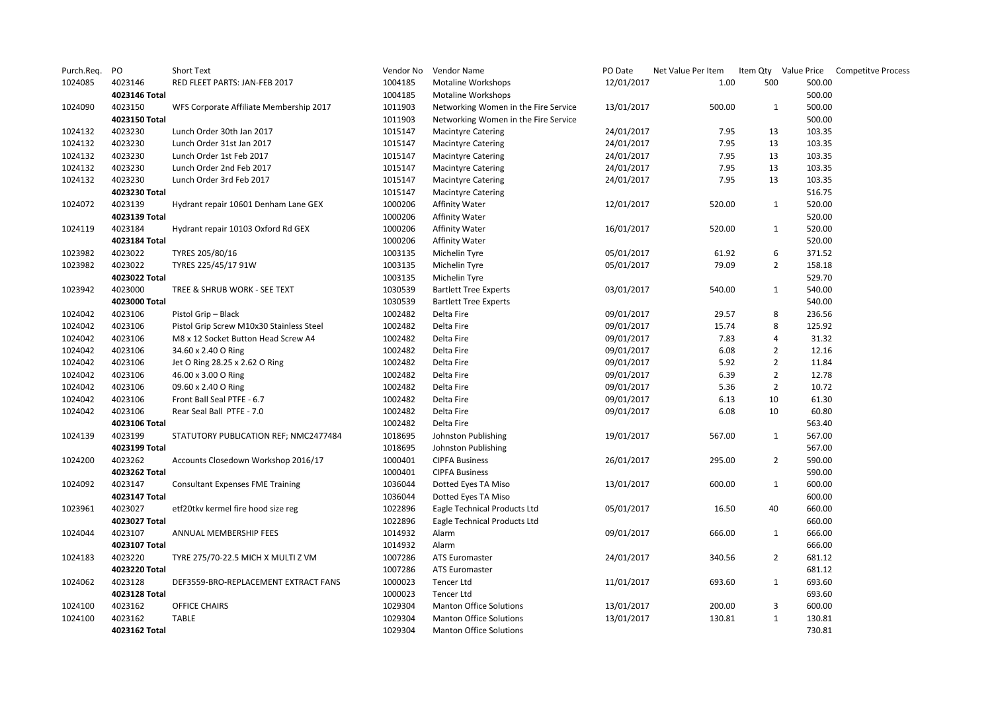| Purch.Req. | PO            | <b>Short Text</b>                        | Vendor No | Vendor Name                          | PO Date    | Net Value Per Item |                |        | Item Qty Value Price Competitve Process |
|------------|---------------|------------------------------------------|-----------|--------------------------------------|------------|--------------------|----------------|--------|-----------------------------------------|
| 1024085    | 4023146       | RED FLEET PARTS: JAN-FEB 2017            | 1004185   | <b>Motaline Workshops</b>            | 12/01/2017 | 1.00               | 500            | 500.00 |                                         |
|            | 4023146 Total |                                          | 1004185   | <b>Motaline Workshops</b>            |            |                    |                | 500.00 |                                         |
| 1024090    | 4023150       | WFS Corporate Affiliate Membership 2017  | 1011903   | Networking Women in the Fire Service | 13/01/2017 | 500.00             | $\mathbf{1}$   | 500.00 |                                         |
|            | 4023150 Total |                                          | 1011903   | Networking Women in the Fire Service |            |                    |                | 500.00 |                                         |
| 1024132    | 4023230       | Lunch Order 30th Jan 2017                | 1015147   | <b>Macintyre Catering</b>            | 24/01/2017 | 7.95               | 13             | 103.35 |                                         |
| 1024132    | 4023230       | Lunch Order 31st Jan 2017                | 1015147   | <b>Macintyre Catering</b>            | 24/01/2017 | 7.95               | 13             | 103.35 |                                         |
| 1024132    | 4023230       | Lunch Order 1st Feb 2017                 | 1015147   | <b>Macintyre Catering</b>            | 24/01/2017 | 7.95               | 13             | 103.35 |                                         |
| 1024132    | 4023230       | Lunch Order 2nd Feb 2017                 | 1015147   | <b>Macintyre Catering</b>            | 24/01/2017 | 7.95               | 13             | 103.35 |                                         |
| 1024132    | 4023230       | Lunch Order 3rd Feb 2017                 | 1015147   | <b>Macintyre Catering</b>            | 24/01/2017 | 7.95               | 13             | 103.35 |                                         |
|            | 4023230 Total |                                          | 1015147   | <b>Macintyre Catering</b>            |            |                    |                | 516.75 |                                         |
| 1024072    | 4023139       | Hydrant repair 10601 Denham Lane GEX     | 1000206   | <b>Affinity Water</b>                | 12/01/2017 | 520.00             | $\mathbf{1}$   | 520.00 |                                         |
|            | 4023139 Total |                                          | 1000206   | <b>Affinity Water</b>                |            |                    |                | 520.00 |                                         |
| 1024119    | 4023184       | Hydrant repair 10103 Oxford Rd GEX       | 1000206   | <b>Affinity Water</b>                | 16/01/2017 | 520.00             | 1              | 520.00 |                                         |
|            | 4023184 Total |                                          | 1000206   | <b>Affinity Water</b>                |            |                    |                | 520.00 |                                         |
| 1023982    | 4023022       | TYRES 205/80/16                          | 1003135   | Michelin Tyre                        | 05/01/2017 | 61.92              | 6              | 371.52 |                                         |
| 1023982    | 4023022       | TYRES 225/45/17 91W                      | 1003135   | Michelin Tyre                        | 05/01/2017 | 79.09              | $\overline{2}$ | 158.18 |                                         |
|            | 4023022 Total |                                          | 1003135   | Michelin Tyre                        |            |                    |                | 529.70 |                                         |
| 1023942    | 4023000       | TREE & SHRUB WORK - SEE TEXT             | 1030539   | <b>Bartlett Tree Experts</b>         | 03/01/2017 | 540.00             | $\mathbf{1}$   | 540.00 |                                         |
|            | 4023000 Total |                                          | 1030539   | <b>Bartlett Tree Experts</b>         |            |                    |                | 540.00 |                                         |
| 1024042    | 4023106       | Pistol Grip - Black                      | 1002482   | Delta Fire                           | 09/01/2017 | 29.57              | 8              | 236.56 |                                         |
| 1024042    | 4023106       | Pistol Grip Screw M10x30 Stainless Steel | 1002482   | Delta Fire                           | 09/01/2017 | 15.74              | 8              | 125.92 |                                         |
| 1024042    | 4023106       | M8 x 12 Socket Button Head Screw A4      | 1002482   | Delta Fire                           | 09/01/2017 | 7.83               | 4              | 31.32  |                                         |
| 1024042    | 4023106       | 34.60 x 2.40 O Ring                      | 1002482   | Delta Fire                           | 09/01/2017 | 6.08               | $\overline{2}$ | 12.16  |                                         |
| 1024042    | 4023106       | Jet O Ring 28.25 x 2.62 O Ring           | 1002482   | Delta Fire                           | 09/01/2017 | 5.92               | $\overline{2}$ | 11.84  |                                         |
| 1024042    | 4023106       | 46.00 x 3.00 O Ring                      | 1002482   | Delta Fire                           | 09/01/2017 | 6.39               | $\overline{2}$ | 12.78  |                                         |
| 1024042    | 4023106       | 09.60 x 2.40 O Ring                      | 1002482   | Delta Fire                           | 09/01/2017 | 5.36               | $\overline{2}$ | 10.72  |                                         |
| 1024042    | 4023106       | Front Ball Seal PTFE - 6.7               | 1002482   | Delta Fire                           | 09/01/2017 | 6.13               | 10             | 61.30  |                                         |
| 1024042    | 4023106       | Rear Seal Ball PTFE - 7.0                | 1002482   | Delta Fire                           | 09/01/2017 | 6.08               | 10             | 60.80  |                                         |
|            | 4023106 Total |                                          | 1002482   | Delta Fire                           |            |                    |                | 563.40 |                                         |
| 1024139    | 4023199       | STATUTORY PUBLICATION REF; NMC2477484    | 1018695   | Johnston Publishing                  | 19/01/2017 | 567.00             | $\mathbf{1}$   | 567.00 |                                         |
|            | 4023199 Total |                                          | 1018695   | Johnston Publishing                  |            |                    |                | 567.00 |                                         |
| 1024200    | 4023262       | Accounts Closedown Workshop 2016/17      | 1000401   | <b>CIPFA Business</b>                | 26/01/2017 | 295.00             | $\overline{2}$ | 590.00 |                                         |
|            | 4023262 Total |                                          | 1000401   | <b>CIPFA Business</b>                |            |                    |                | 590.00 |                                         |
| 1024092    | 4023147       | <b>Consultant Expenses FME Training</b>  | 1036044   | Dotted Eyes TA Miso                  | 13/01/2017 | 600.00             | 1              | 600.00 |                                         |
|            | 4023147 Total |                                          | 1036044   | Dotted Eyes TA Miso                  |            |                    |                | 600.00 |                                         |
| 1023961    | 4023027       | etf20tkv kermel fire hood size reg       | 1022896   | Eagle Technical Products Ltd         | 05/01/2017 | 16.50              | 40             | 660.00 |                                         |
|            | 4023027 Total |                                          | 1022896   | Eagle Technical Products Ltd         |            |                    |                | 660.00 |                                         |
| 1024044    | 4023107       | ANNUAL MEMBERSHIP FEES                   | 1014932   | Alarm                                | 09/01/2017 | 666.00             | $\mathbf{1}$   | 666.00 |                                         |
|            | 4023107 Total |                                          | 1014932   | Alarm                                |            |                    |                | 666.00 |                                         |
| 1024183    | 4023220       | TYRE 275/70-22.5 MICH X MULTI Z VM       | 1007286   | ATS Euromaster                       | 24/01/2017 | 340.56             | $\overline{2}$ | 681.12 |                                         |
|            | 4023220 Total |                                          | 1007286   | ATS Euromaster                       |            |                    |                | 681.12 |                                         |
| 1024062    | 4023128       | DEF3559-BRO-REPLACEMENT EXTRACT FANS     | 1000023   | <b>Tencer Ltd</b>                    | 11/01/2017 | 693.60             | $\mathbf{1}$   | 693.60 |                                         |
|            | 4023128 Total |                                          | 1000023   | Tencer Ltd                           |            |                    |                | 693.60 |                                         |
| 1024100    | 4023162       | <b>OFFICE CHAIRS</b>                     | 1029304   | <b>Manton Office Solutions</b>       | 13/01/2017 | 200.00             | 3              | 600.00 |                                         |
| 1024100    | 4023162       | TABLE                                    | 1029304   | <b>Manton Office Solutions</b>       | 13/01/2017 | 130.81             | $\mathbf{1}$   | 130.81 |                                         |
|            | 4023162 Total |                                          | 1029304   | <b>Manton Office Solutions</b>       |            |                    |                | 730.81 |                                         |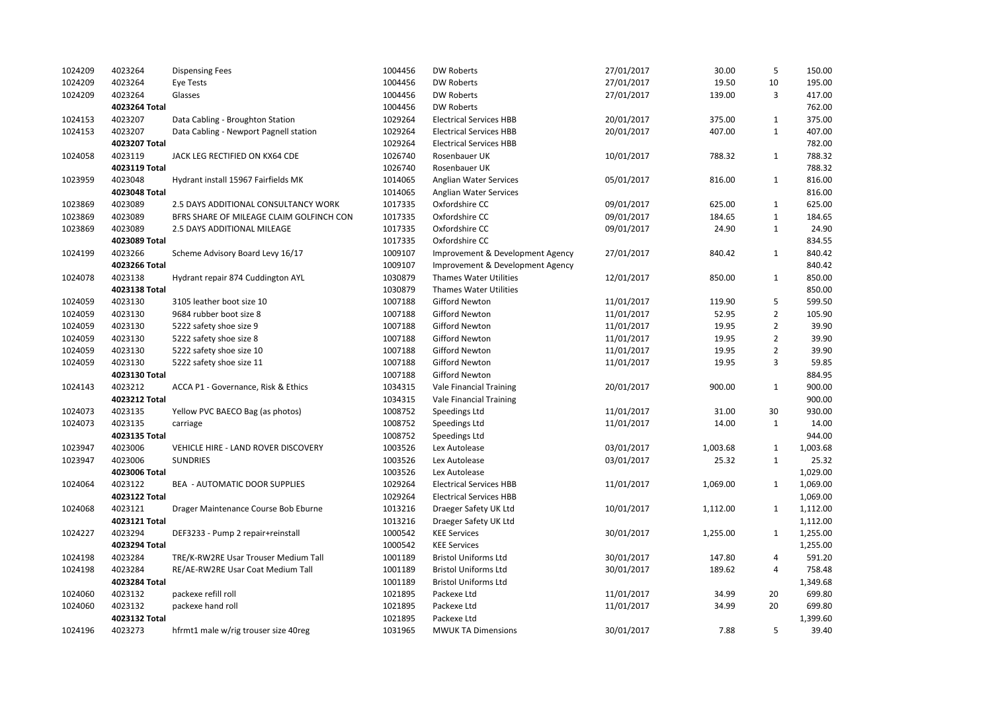| 1024209 | 4023264            | <b>Dispensing Fees</b>                   | 1004456            | <b>DW Roberts</b>                | 27/01/2017 | 30.00    | 5              | 150.00             |
|---------|--------------------|------------------------------------------|--------------------|----------------------------------|------------|----------|----------------|--------------------|
| 1024209 | 4023264            | Eye Tests                                | 1004456            | <b>DW Roberts</b>                | 27/01/2017 | 19.50    | 10             | 195.00             |
| 1024209 | 4023264            | Glasses                                  | 1004456            | <b>DW Roberts</b>                | 27/01/2017 | 139.00   | 3              | 417.00             |
|         | 4023264 Total      |                                          | 1004456            | <b>DW Roberts</b>                |            |          |                | 762.00             |
| 1024153 | 4023207            | Data Cabling - Broughton Station         | 1029264            | <b>Electrical Services HBB</b>   | 20/01/2017 | 375.00   | $\mathbf{1}$   | 375.00             |
| 1024153 | 4023207            | Data Cabling - Newport Pagnell station   | 1029264            | <b>Electrical Services HBB</b>   | 20/01/2017 | 407.00   | $\mathbf{1}$   | 407.00             |
|         | 4023207 Total      |                                          | 1029264            | <b>Electrical Services HBB</b>   |            |          |                | 782.00             |
| 1024058 | 4023119            | JACK LEG RECTIFIED ON KX64 CDE           | 1026740            | Rosenbauer UK                    | 10/01/2017 | 788.32   | 1              | 788.32             |
|         | 4023119 Total      |                                          | 1026740            | Rosenbauer UK                    |            |          |                | 788.32             |
| 1023959 | 4023048            | Hydrant install 15967 Fairfields MK      | 1014065            | Anglian Water Services           | 05/01/2017 | 816.00   | $\mathbf{1}$   | 816.00             |
|         | 4023048 Total      |                                          | 1014065            | Anglian Water Services           |            |          |                | 816.00             |
| 1023869 | 4023089            | 2.5 DAYS ADDITIONAL CONSULTANCY WORK     | 1017335            | Oxfordshire CC                   | 09/01/2017 | 625.00   | $\mathbf{1}$   | 625.00             |
| 1023869 | 4023089            | BFRS SHARE OF MILEAGE CLAIM GOLFINCH CON | 1017335            | Oxfordshire CC                   | 09/01/2017 | 184.65   | $\mathbf{1}$   | 184.65             |
| 1023869 | 4023089            | 2.5 DAYS ADDITIONAL MILEAGE              | 1017335            | Oxfordshire CC                   | 09/01/2017 | 24.90    | $\mathbf{1}$   | 24.90              |
|         | 4023089 Total      |                                          | 1017335            | Oxfordshire CC                   |            |          |                | 834.55             |
| 1024199 | 4023266            | Scheme Advisory Board Levy 16/17         | 1009107            | Improvement & Development Agency | 27/01/2017 | 840.42   | 1              | 840.42             |
|         | 4023266 Total      |                                          | 1009107            | Improvement & Development Agency |            |          |                | 840.42             |
| 1024078 | 4023138            | Hydrant repair 874 Cuddington AYL        | 1030879            | Thames Water Utilities           | 12/01/2017 | 850.00   | $\mathbf{1}$   | 850.00             |
|         | 4023138 Total      |                                          | 1030879            | Thames Water Utilities           |            |          |                | 850.00             |
| 1024059 | 4023130            | 3105 leather boot size 10                | 1007188            | <b>Gifford Newton</b>            | 11/01/2017 | 119.90   | 5              | 599.50             |
| 1024059 | 4023130            | 9684 rubber boot size 8                  | 1007188            | Gifford Newton                   | 11/01/2017 | 52.95    | $\overline{2}$ | 105.90             |
| 1024059 | 4023130            | 5222 safety shoe size 9                  | 1007188            | Gifford Newton                   | 11/01/2017 | 19.95    | $\overline{2}$ | 39.90              |
| 1024059 | 4023130            | 5222 safety shoe size 8                  | 1007188            | Gifford Newton                   | 11/01/2017 | 19.95    | $\overline{2}$ | 39.90              |
| 1024059 | 4023130            | 5222 safety shoe size 10                 | 1007188            | Gifford Newton                   | 11/01/2017 | 19.95    | $\overline{2}$ | 39.90              |
| 1024059 | 4023130            | 5222 safety shoe size 11                 | 1007188            | <b>Gifford Newton</b>            | 11/01/2017 | 19.95    | 3              | 59.85              |
|         | 4023130 Total      |                                          | 1007188            | <b>Gifford Newton</b>            |            |          |                | 884.95             |
| 1024143 | 4023212            | ACCA P1 - Governance, Risk & Ethics      | 1034315            | <b>Vale Financial Training</b>   | 20/01/2017 | 900.00   | $\mathbf{1}$   | 900.00             |
|         | 4023212 Total      |                                          | 1034315            | <b>Vale Financial Training</b>   |            |          |                | 900.00             |
| 1024073 | 4023135            | Yellow PVC BAECO Bag (as photos)         | 1008752            | Speedings Ltd                    | 11/01/2017 | 31.00    | 30             | 930.00             |
| 1024073 | 4023135            | carriage                                 | 1008752            | Speedings Ltd                    | 11/01/2017 | 14.00    | 1              | 14.00              |
|         | 4023135 Total      |                                          | 1008752            | Speedings Ltd                    |            |          |                | 944.00             |
| 1023947 | 4023006            | VEHICLE HIRE - LAND ROVER DISCOVERY      | 1003526            | Lex Autolease                    | 03/01/2017 | 1,003.68 | $\mathbf{1}$   | 1,003.68           |
| 1023947 | 4023006            | <b>SUNDRIES</b>                          | 1003526            | Lex Autolease                    | 03/01/2017 | 25.32    | $\mathbf{1}$   | 25.32              |
|         | 4023006 Total      |                                          | 1003526            | Lex Autolease                    |            |          |                | 1,029.00           |
| 1024064 | 4023122            | BEA - AUTOMATIC DOOR SUPPLIES            | 1029264            | <b>Electrical Services HBB</b>   | 11/01/2017 | 1,069.00 | 1              | 1,069.00           |
|         | 4023122 Total      |                                          | 1029264            | <b>Electrical Services HBB</b>   |            |          |                | 1,069.00           |
| 1024068 | 4023121            | Drager Maintenance Course Bob Eburne     | 1013216            | Draeger Safety UK Ltd            | 10/01/2017 | 1,112.00 | 1              | 1,112.00           |
|         | 4023121 Total      |                                          | 1013216            | Draeger Safety UK Ltd            |            |          |                | 1,112.00           |
| 1024227 | 4023294            | DEF3233 - Pump 2 repair+reinstall        | 1000542            | <b>KEE Services</b>              | 30/01/2017 | 1,255.00 | $\mathbf{1}$   | 1,255.00           |
|         | 4023294 Total      |                                          | 1000542            | <b>KEE Services</b>              |            |          |                | 1,255.00           |
| 1024198 | 4023284            | TRE/K-RW2RE Usar Trouser Medium Tall     | 1001189            | <b>Bristol Uniforms Ltd</b>      | 30/01/2017 | 147.80   | $\overline{4}$ | 591.20             |
| 1024198 | 4023284            | RE/AE-RW2RE Usar Coat Medium Tall        | 1001189            | <b>Bristol Uniforms Ltd</b>      | 30/01/2017 | 189.62   | 4              | 758.48             |
|         | 4023284 Total      |                                          | 1001189<br>1021895 | <b>Bristol Uniforms Ltd</b>      |            |          |                | 1,349.68<br>699.80 |
| 1024060 | 4023132<br>4023132 | packexe refill roll                      |                    | Packexe Ltd                      | 11/01/2017 | 34.99    | 20<br>20       |                    |
| 1024060 | 4023132 Total      | packexe hand roll                        | 1021895<br>1021895 | Packexe Ltd<br>Packexe Ltd       | 11/01/2017 | 34.99    |                | 699.80<br>1,399.60 |
|         | 4023273            |                                          |                    |                                  |            | 7.88     | 5              |                    |
| 1024196 |                    | hfrmt1 male w/rig trouser size 40reg     | 1031965            | <b>MWUK TA Dimensions</b>        | 30/01/2017 |          |                | 39.40              |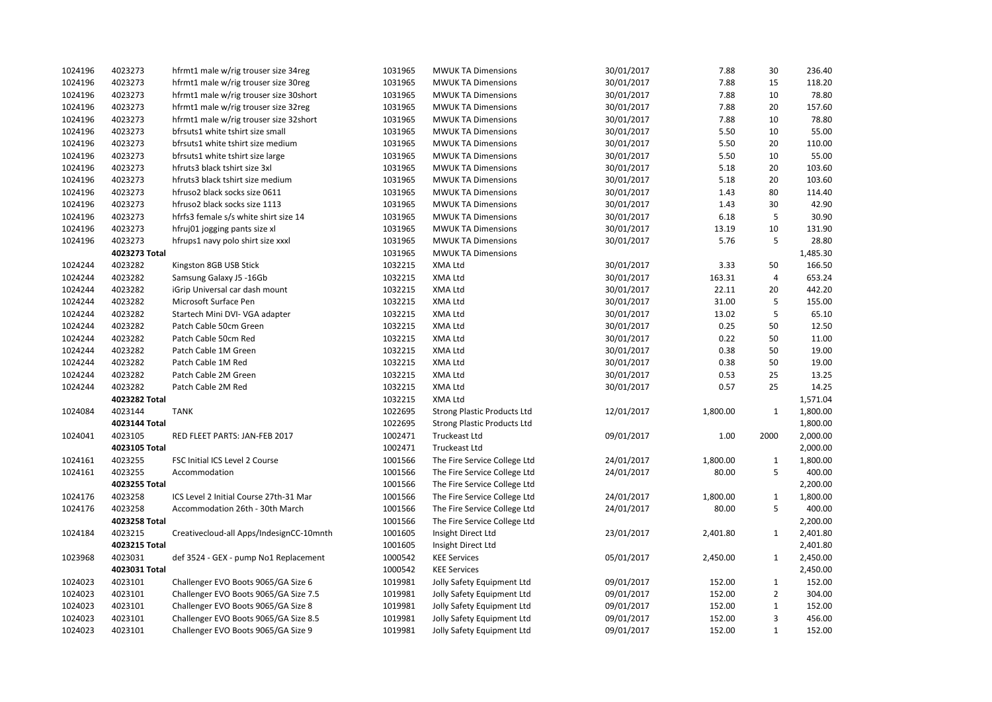| 1024196 | 4023273       | hfrmt1 male w/rig trouser size 34reg     | 1031965 | <b>MWUK TA Dimensions</b>          | 30/01/2017 | 7.88     | 30             | 236.40   |
|---------|---------------|------------------------------------------|---------|------------------------------------|------------|----------|----------------|----------|
| 1024196 | 4023273       | hfrmt1 male w/rig trouser size 30reg     | 1031965 | <b>MWUK TA Dimensions</b>          | 30/01/2017 | 7.88     | 15             | 118.20   |
| 1024196 | 4023273       | hfrmt1 male w/rig trouser size 30short   | 1031965 | <b>MWUK TA Dimensions</b>          | 30/01/2017 | 7.88     | 10             | 78.80    |
| 1024196 | 4023273       | hfrmt1 male w/rig trouser size 32reg     | 1031965 | <b>MWUK TA Dimensions</b>          | 30/01/2017 | 7.88     | 20             | 157.60   |
| 1024196 | 4023273       | hfrmt1 male w/rig trouser size 32short   | 1031965 | <b>MWUK TA Dimensions</b>          | 30/01/2017 | 7.88     | 10             | 78.80    |
| 1024196 | 4023273       | bfrsuts1 white tshirt size small         | 1031965 | <b>MWUK TA Dimensions</b>          | 30/01/2017 | 5.50     | 10             | 55.00    |
| 1024196 | 4023273       | bfrsuts1 white tshirt size medium        | 1031965 | <b>MWUK TA Dimensions</b>          | 30/01/2017 | 5.50     | 20             | 110.00   |
| 1024196 | 4023273       | bfrsuts1 white tshirt size large         | 1031965 | <b>MWUK TA Dimensions</b>          | 30/01/2017 | 5.50     | 10             | 55.00    |
| 1024196 | 4023273       | hfruts3 black tshirt size 3xl            | 1031965 | <b>MWUK TA Dimensions</b>          | 30/01/2017 | 5.18     | 20             | 103.60   |
| 1024196 | 4023273       | hfruts3 black tshirt size medium         | 1031965 | <b>MWUK TA Dimensions</b>          | 30/01/2017 | 5.18     | 20             | 103.60   |
| 1024196 | 4023273       | hfruso2 black socks size 0611            | 1031965 | <b>MWUK TA Dimensions</b>          | 30/01/2017 | 1.43     | 80             | 114.40   |
| 1024196 | 4023273       | hfruso2 black socks size 1113            | 1031965 | <b>MWUK TA Dimensions</b>          | 30/01/2017 | 1.43     | 30             | 42.90    |
| 1024196 | 4023273       | hfrfs3 female s/s white shirt size 14    | 1031965 | <b>MWUK TA Dimensions</b>          | 30/01/2017 | 6.18     | 5              | 30.90    |
| 1024196 | 4023273       | hfruj01 jogging pants size xl            | 1031965 | <b>MWUK TA Dimensions</b>          | 30/01/2017 | 13.19    | 10             | 131.90   |
| 1024196 | 4023273       | hfrups1 navy polo shirt size xxxl        | 1031965 | <b>MWUK TA Dimensions</b>          | 30/01/2017 | 5.76     | 5              | 28.80    |
|         | 4023273 Total |                                          | 1031965 | <b>MWUK TA Dimensions</b>          |            |          |                | 1,485.30 |
| 1024244 | 4023282       | Kingston 8GB USB Stick                   | 1032215 | XMA Ltd                            | 30/01/2017 | 3.33     | 50             | 166.50   |
| 1024244 | 4023282       | Samsung Galaxy J5 -16Gb                  | 1032215 | XMA Ltd                            | 30/01/2017 | 163.31   | $\overline{4}$ | 653.24   |
| 1024244 | 4023282       | iGrip Universal car dash mount           | 1032215 | XMA Ltd                            | 30/01/2017 | 22.11    | 20             | 442.20   |
| 1024244 | 4023282       | Microsoft Surface Pen                    | 1032215 | XMA Ltd                            | 30/01/2017 | 31.00    | 5              | 155.00   |
| 1024244 | 4023282       | Startech Mini DVI- VGA adapter           | 1032215 | XMA Ltd                            | 30/01/2017 | 13.02    | 5              | 65.10    |
| 1024244 | 4023282       | Patch Cable 50cm Green                   | 1032215 | XMA Ltd                            | 30/01/2017 | 0.25     | 50             | 12.50    |
| 1024244 | 4023282       | Patch Cable 50cm Red                     | 1032215 | XMA Ltd                            | 30/01/2017 | 0.22     | 50             | 11.00    |
| 1024244 | 4023282       | Patch Cable 1M Green                     | 1032215 | XMA Ltd                            | 30/01/2017 | 0.38     | 50             | 19.00    |
| 1024244 | 4023282       | Patch Cable 1M Red                       | 1032215 | XMA Ltd                            | 30/01/2017 | 0.38     | 50             | 19.00    |
| 1024244 | 4023282       | Patch Cable 2M Green                     | 1032215 | XMA Ltd                            | 30/01/2017 | 0.53     | 25             | 13.25    |
| 1024244 | 4023282       | Patch Cable 2M Red                       | 1032215 | XMA Ltd                            | 30/01/2017 | 0.57     | 25             | 14.25    |
|         | 4023282 Total |                                          | 1032215 | XMA Ltd                            |            |          |                | 1,571.04 |
| 1024084 | 4023144       | <b>TANK</b>                              | 1022695 | <b>Strong Plastic Products Ltd</b> | 12/01/2017 | 1,800.00 | $\mathbf{1}$   | 1,800.00 |
|         | 4023144 Total |                                          | 1022695 | <b>Strong Plastic Products Ltd</b> |            |          |                | 1,800.00 |
| 1024041 | 4023105       | RED FLEET PARTS: JAN-FEB 2017            | 1002471 | Truckeast Ltd                      | 09/01/2017 | 1.00     | 2000           | 2,000.00 |
|         | 4023105 Total |                                          | 1002471 | Truckeast Ltd                      |            |          |                | 2,000.00 |
| 1024161 | 4023255       | FSC Initial ICS Level 2 Course           | 1001566 | The Fire Service College Ltd       | 24/01/2017 | 1,800.00 | $\mathbf{1}$   | 1,800.00 |
| 1024161 | 4023255       | Accommodation                            | 1001566 | The Fire Service College Ltd       | 24/01/2017 | 80.00    | 5              | 400.00   |
|         | 4023255 Total |                                          | 1001566 | The Fire Service College Ltd       |            |          |                | 2,200.00 |
| 1024176 | 4023258       | ICS Level 2 Initial Course 27th-31 Mar   | 1001566 | The Fire Service College Ltd       | 24/01/2017 | 1,800.00 | $\mathbf{1}$   | 1,800.00 |
| 1024176 | 4023258       | Accommodation 26th - 30th March          | 1001566 | The Fire Service College Ltd       | 24/01/2017 | 80.00    | 5              | 400.00   |
|         | 4023258 Total |                                          | 1001566 | The Fire Service College Ltd       |            |          |                | 2,200.00 |
| 1024184 | 4023215       | Creativecloud-all Apps/IndesignCC-10mnth | 1001605 | Insight Direct Ltd                 | 23/01/2017 | 2,401.80 | $\mathbf{1}$   | 2,401.80 |
|         | 4023215 Total |                                          | 1001605 | Insight Direct Ltd                 |            |          |                | 2,401.80 |
| 1023968 | 4023031       | def 3524 - GEX - pump No1 Replacement    | 1000542 | <b>KEE Services</b>                | 05/01/2017 | 2,450.00 | $\mathbf{1}$   | 2,450.00 |
|         | 4023031 Total |                                          | 1000542 | <b>KEE Services</b>                |            |          |                | 2,450.00 |
| 1024023 | 4023101       | Challenger EVO Boots 9065/GA Size 6      | 1019981 | Jolly Safety Equipment Ltd         | 09/01/2017 | 152.00   | $\mathbf{1}$   | 152.00   |
| 1024023 | 4023101       | Challenger EVO Boots 9065/GA Size 7.5    | 1019981 | Jolly Safety Equipment Ltd         | 09/01/2017 | 152.00   | $\overline{2}$ | 304.00   |
| 1024023 | 4023101       | Challenger EVO Boots 9065/GA Size 8      | 1019981 | Jolly Safety Equipment Ltd         | 09/01/2017 | 152.00   | $\mathbf{1}$   | 152.00   |
| 1024023 | 4023101       | Challenger EVO Boots 9065/GA Size 8.5    | 1019981 | Jolly Safety Equipment Ltd         | 09/01/2017 | 152.00   | 3              | 456.00   |
| 1024023 | 4023101       | Challenger EVO Boots 9065/GA Size 9      | 1019981 | Jolly Safety Equipment Ltd         | 09/01/2017 | 152.00   | $\mathbf{1}$   | 152.00   |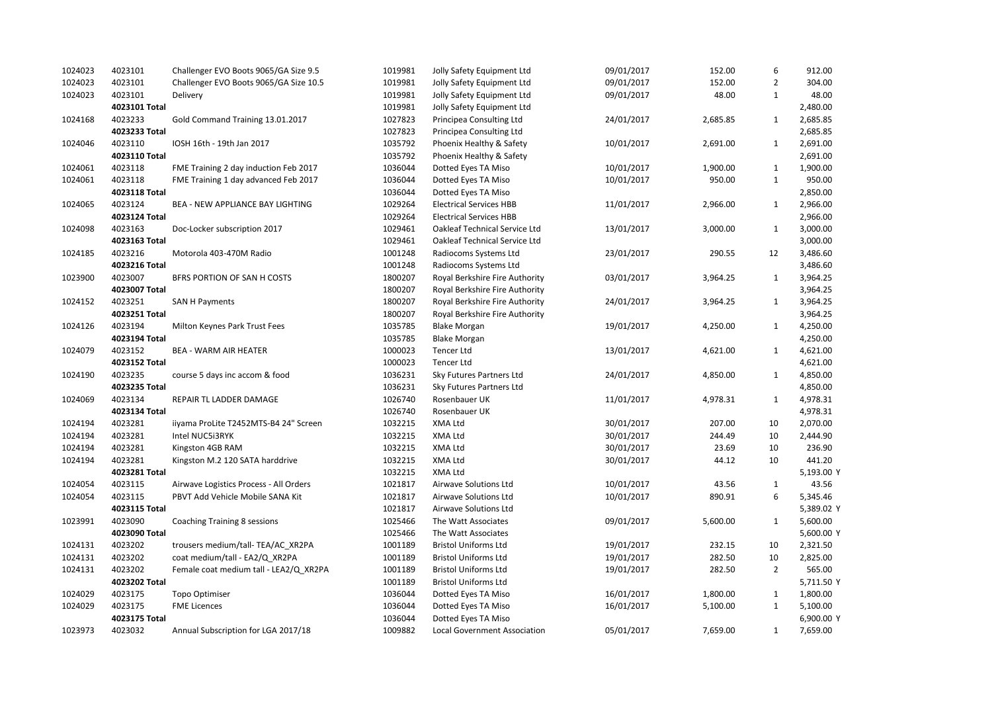| 1024023 | 4023101       | Challenger EVO Boots 9065/GA Size 9.5   | 1019981 | Jolly Safety Equipment Ltd          | 09/01/2017 | 152.00   | 6              | 912.00     |
|---------|---------------|-----------------------------------------|---------|-------------------------------------|------------|----------|----------------|------------|
| 1024023 | 4023101       | Challenger EVO Boots 9065/GA Size 10.5  | 1019981 | Jolly Safety Equipment Ltd          | 09/01/2017 | 152.00   | $\overline{2}$ | 304.00     |
| 1024023 | 4023101       | Delivery                                | 1019981 | Jolly Safety Equipment Ltd          | 09/01/2017 | 48.00    | $\mathbf{1}$   | 48.00      |
|         | 4023101 Total |                                         | 1019981 | Jolly Safety Equipment Ltd          |            |          |                | 2,480.00   |
| 1024168 | 4023233       | Gold Command Training 13.01.2017        | 1027823 | Principea Consulting Ltd            | 24/01/2017 | 2,685.85 | $\mathbf{1}$   | 2,685.85   |
|         | 4023233 Total |                                         | 1027823 | Principea Consulting Ltd            |            |          |                | 2,685.85   |
| 1024046 | 4023110       | IOSH 16th - 19th Jan 2017               | 1035792 | Phoenix Healthy & Safety            | 10/01/2017 | 2,691.00 | $\mathbf{1}$   | 2,691.00   |
|         | 4023110 Total |                                         | 1035792 | Phoenix Healthy & Safety            |            |          |                | 2,691.00   |
| 1024061 | 4023118       | FME Training 2 day induction Feb 2017   | 1036044 | Dotted Eyes TA Miso                 | 10/01/2017 | 1,900.00 | $\mathbf{1}$   | 1,900.00   |
| 1024061 | 4023118       | FME Training 1 day advanced Feb 2017    | 1036044 | Dotted Eyes TA Miso                 | 10/01/2017 | 950.00   | $\mathbf{1}$   | 950.00     |
|         | 4023118 Total |                                         | 1036044 | Dotted Eyes TA Miso                 |            |          |                | 2,850.00   |
| 1024065 | 4023124       | <b>BEA - NEW APPLIANCE BAY LIGHTING</b> | 1029264 | <b>Electrical Services HBB</b>      | 11/01/2017 | 2,966.00 | $\mathbf{1}$   | 2,966.00   |
|         | 4023124 Total |                                         | 1029264 | <b>Electrical Services HBB</b>      |            |          |                | 2,966.00   |
| 1024098 | 4023163       | Doc-Locker subscription 2017            | 1029461 | Oakleaf Technical Service Ltd       | 13/01/2017 | 3,000.00 | $\mathbf{1}$   | 3,000.00   |
|         | 4023163 Total |                                         | 1029461 | Oakleaf Technical Service Ltd       |            |          |                | 3,000.00   |
| 1024185 | 4023216       | Motorola 403-470M Radio                 | 1001248 | Radiocoms Systems Ltd               | 23/01/2017 | 290.55   | 12             | 3,486.60   |
|         | 4023216 Total |                                         | 1001248 | Radiocoms Systems Ltd               |            |          |                | 3,486.60   |
| 1023900 | 4023007       | BFRS PORTION OF SAN H COSTS             | 1800207 | Royal Berkshire Fire Authority      | 03/01/2017 | 3,964.25 | $\mathbf{1}$   | 3,964.25   |
|         | 4023007 Total |                                         | 1800207 | Royal Berkshire Fire Authority      |            |          |                | 3,964.25   |
| 1024152 | 4023251       | <b>SAN H Payments</b>                   | 1800207 | Royal Berkshire Fire Authority      | 24/01/2017 | 3,964.25 | $\mathbf{1}$   | 3,964.25   |
|         | 4023251 Total |                                         | 1800207 | Royal Berkshire Fire Authority      |            |          |                | 3,964.25   |
| 1024126 | 4023194       | Milton Keynes Park Trust Fees           | 1035785 | <b>Blake Morgan</b>                 | 19/01/2017 | 4,250.00 | $\mathbf{1}$   | 4,250.00   |
|         | 4023194 Total |                                         | 1035785 | <b>Blake Morgan</b>                 |            |          |                | 4,250.00   |
| 1024079 | 4023152       | <b>BEA - WARM AIR HEATER</b>            | 1000023 | Tencer Ltd                          | 13/01/2017 | 4,621.00 | $\mathbf{1}$   | 4,621.00   |
|         | 4023152 Total |                                         | 1000023 | <b>Tencer Ltd</b>                   |            |          |                | 4,621.00   |
| 1024190 | 4023235       | course 5 days inc accom & food          | 1036231 | Sky Futures Partners Ltd            | 24/01/2017 | 4,850.00 | $1\,$          | 4,850.00   |
|         | 4023235 Total |                                         | 1036231 | Sky Futures Partners Ltd            |            |          |                | 4,850.00   |
| 1024069 | 4023134       | REPAIR TL LADDER DAMAGE                 | 1026740 | Rosenbauer UK                       | 11/01/2017 | 4,978.31 | $\mathbf{1}$   | 4,978.31   |
|         | 4023134 Total |                                         | 1026740 | Rosenbauer UK                       |            |          |                | 4,978.31   |
| 1024194 | 4023281       | iiyama ProLite T2452MTS-B4 24" Screen   | 1032215 | XMA Ltd                             | 30/01/2017 | 207.00   | 10             | 2,070.00   |
| 1024194 | 4023281       | Intel NUC5i3RYK                         | 1032215 | XMA Ltd                             | 30/01/2017 | 244.49   | 10             | 2,444.90   |
| 1024194 | 4023281       | Kingston 4GB RAM                        | 1032215 | XMA Ltd                             | 30/01/2017 | 23.69    | 10             | 236.90     |
| 1024194 | 4023281       | Kingston M.2 120 SATA harddrive         | 1032215 | XMA Ltd                             | 30/01/2017 | 44.12    | 10             | 441.20     |
|         | 4023281 Total |                                         | 1032215 | XMA Ltd                             |            |          |                | 5,193.00 Y |
| 1024054 | 4023115       | Airwave Logistics Process - All Orders  | 1021817 | Airwave Solutions Ltd               | 10/01/2017 | 43.56    | 1              | 43.56      |
| 1024054 | 4023115       | PBVT Add Vehicle Mobile SANA Kit        | 1021817 | Airwave Solutions Ltd               | 10/01/2017 | 890.91   | 6              | 5,345.46   |
|         | 4023115 Total |                                         | 1021817 | Airwave Solutions Ltd               |            |          |                | 5,389.02 Y |
| 1023991 | 4023090       | Coaching Training 8 sessions            | 1025466 | The Watt Associates                 | 09/01/2017 | 5,600.00 | 1              | 5,600.00   |
|         | 4023090 Total |                                         | 1025466 | The Watt Associates                 |            |          |                | 5,600.00 Y |
| 1024131 | 4023202       | trousers medium/tall-TEA/AC XR2PA       | 1001189 | <b>Bristol Uniforms Ltd</b>         | 19/01/2017 | 232.15   | 10             | 2,321.50   |
| 1024131 | 4023202       | coat medium/tall - EA2/Q XR2PA          | 1001189 | <b>Bristol Uniforms Ltd</b>         | 19/01/2017 | 282.50   | 10             | 2,825.00   |
| 1024131 | 4023202       | Female coat medium tall - LEA2/Q XR2PA  | 1001189 | <b>Bristol Uniforms Ltd</b>         | 19/01/2017 | 282.50   | $\overline{2}$ | 565.00     |
|         | 4023202 Total |                                         | 1001189 | <b>Bristol Uniforms Ltd</b>         |            |          |                | 5,711.50 Y |
| 1024029 | 4023175       | Topo Optimiser                          | 1036044 | Dotted Eyes TA Miso                 | 16/01/2017 | 1,800.00 | $\mathbf{1}$   | 1,800.00   |
| 1024029 | 4023175       | <b>FME Licences</b>                     | 1036044 | Dotted Eyes TA Miso                 | 16/01/2017 | 5,100.00 | $\mathbf{1}$   | 5,100.00   |
|         | 4023175 Total |                                         | 1036044 | Dotted Eyes TA Miso                 |            |          |                | 6,900.00 Y |
| 1023973 | 4023032       | Annual Subscription for LGA 2017/18     | 1009882 | <b>Local Government Association</b> | 05/01/2017 | 7,659.00 | $\mathbf{1}$   | 7,659.00   |